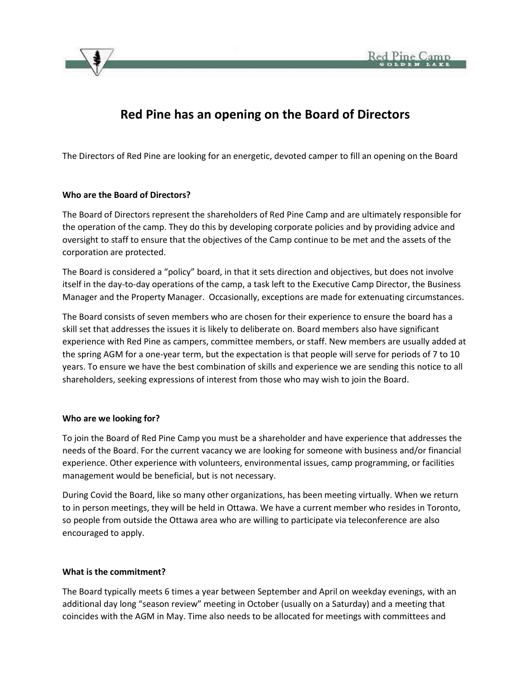

# **Red Pine has an opening on the Board of Directors**

The Directors of Red Pine are looking for an energetic, devoted camper to fill an opening on the Board

## **Who are the Board of Directors?**

The Board of Directors represent the shareholders of Red Pine Camp and are ultimately responsible for the operation of the camp. They do this by developing corporate policies and by providing advice and oversight to staff to ensure that the objectives of the Camp continue to be met and the assets of the corporation are protected.

The Board is considered a "policy" board, in that it sets direction and objectives, but does not involve itself in the day-to-day operations of the camp, a task left to the Executive Camp Director, the Business Manager and the Property Manager. Occasionally, exceptions are made for extenuating circumstances.

The Board consists of seven members who are chosen for their experience to ensure the board has a skill set that addresses the issues it is likely to deliberate on. Board members also have significant experience with Red Pine as campers, committee members, or staff. New members are usually added at the spring AGM for a one-year term, but the expectation is that people will serve for periods of 7 to 10 years. To ensure we have the best combination of skills and experience we are sending this notice to all shareholders, seeking expressions of interest from those who may wish to join the Board.

### **Who are we looking for?**

To join the Board of Red Pine Camp you must be a shareholder and have experience that addresses the needs of the Board. For the current vacancy we are looking for someone with business and/or financial experience. Other experience with volunteers, environmental issues, camp programming, or facilities management would be beneficial, but is not necessary.

During Covid the Board, like so many other organizations, has been meeting virtually. When we return to in person meetings, they will be held in Ottawa. We have a current member who resides in Toronto, so people from outside the Ottawa area who are willing to participate via teleconference are also encouraged to apply.

### **What is the commitment?**

The Board typically meets 6 times a year between September and April on weekday evenings, with an additional day long "season review" meeting in October (usually on a Saturday) and a meeting that coincides with the AGM in May. Time also needs to be allocated for meetings with committees and